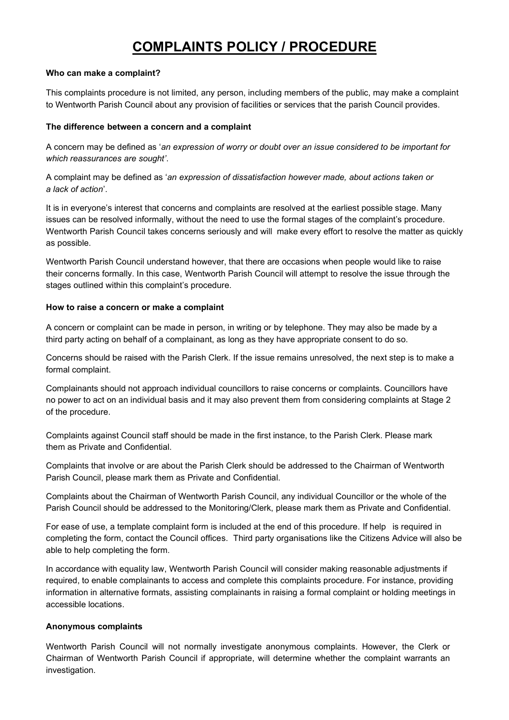# COMPLAINTS POLICY / PROCEDURE

## Who can make a complaint?

This complaints procedure is not limited, any person, including members of the public, may make a complaint to Wentworth Parish Council about any provision of facilities or services that the parish Council provides.

## The difference between a concern and a complaint

A concern may be defined as 'an expression of worry or doubt over an issue considered to be important for which reassurances are sought'.

A complaint may be defined as 'an expression of dissatisfaction however made, about actions taken or a lack of action'.

It is in everyone's interest that concerns and complaints are resolved at the earliest possible stage. Many issues can be resolved informally, without the need to use the formal stages of the complaint's procedure. Wentworth Parish Council takes concerns seriously and will make every effort to resolve the matter as quickly as possible.

Wentworth Parish Council understand however, that there are occasions when people would like to raise their concerns formally. In this case, Wentworth Parish Council will attempt to resolve the issue through the stages outlined within this complaint's procedure.

## How to raise a concern or make a complaint

A concern or complaint can be made in person, in writing or by telephone. They may also be made by a third party acting on behalf of a complainant, as long as they have appropriate consent to do so.

Concerns should be raised with the Parish Clerk. If the issue remains unresolved, the next step is to make a formal complaint.

Complainants should not approach individual councillors to raise concerns or complaints. Councillors have no power to act on an individual basis and it may also prevent them from considering complaints at Stage 2 of the procedure.

Complaints against Council staff should be made in the first instance, to the Parish Clerk. Please mark them as Private and Confidential.

Complaints that involve or are about the Parish Clerk should be addressed to the Chairman of Wentworth Parish Council, please mark them as Private and Confidential.

Complaints about the Chairman of Wentworth Parish Council, any individual Councillor or the whole of the Parish Council should be addressed to the Monitoring/Clerk, please mark them as Private and Confidential.

For ease of use, a template complaint form is included at the end of this procedure. If help is required in completing the form, contact the Council offices. Third party organisations like the Citizens Advice will also be able to help completing the form.

In accordance with equality law, Wentworth Parish Council will consider making reasonable adjustments if required, to enable complainants to access and complete this complaints procedure. For instance, providing information in alternative formats, assisting complainants in raising a formal complaint or holding meetings in accessible locations.

## Anonymous complaints

Wentworth Parish Council will not normally investigate anonymous complaints. However, the Clerk or Chairman of Wentworth Parish Council if appropriate, will determine whether the complaint warrants an investigation.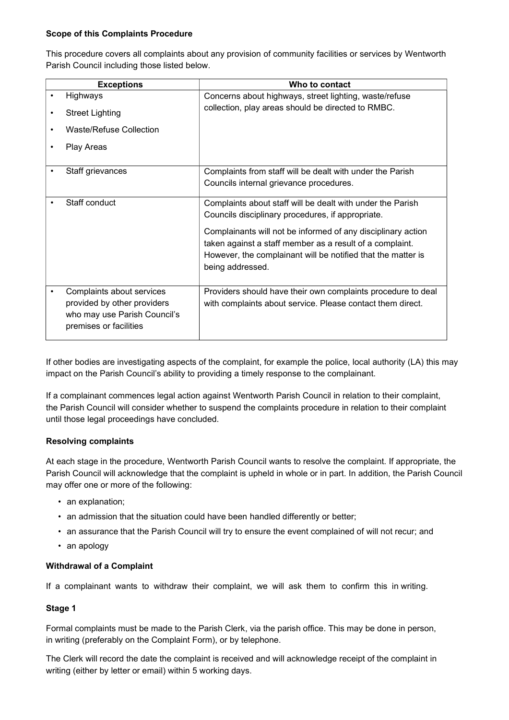## Scope of this Complaints Procedure

This procedure covers all complaints about any provision of community facilities or services by Wentworth Parish Council including those listed below.

| <b>Exceptions</b>            | Who to contact                                               |
|------------------------------|--------------------------------------------------------------|
| Highways                     | Concerns about highways, street lighting, waste/refuse       |
| <b>Street Lighting</b>       | collection, play areas should be directed to RMBC.           |
| Waste/Refuse Collection      |                                                              |
| Play Areas                   |                                                              |
| Staff grievances             | Complaints from staff will be dealt with under the Parish    |
|                              | Councils internal grievance procedures.                      |
| Staff conduct                | Complaints about staff will be dealt with under the Parish   |
|                              | Councils disciplinary procedures, if appropriate.            |
|                              | Complainants will not be informed of any disciplinary action |
|                              | taken against a staff member as a result of a complaint.     |
|                              | However, the complainant will be notified that the matter is |
|                              | being addressed.                                             |
| Complaints about services    | Providers should have their own complaints procedure to deal |
| provided by other providers  | with complaints about service. Please contact them direct.   |
| who may use Parish Council's |                                                              |
| premises or facilities       |                                                              |

If other bodies are investigating aspects of the complaint, for example the police, local authority (LA) this may impact on the Parish Council's ability to providing a timely response to the complainant.

If a complainant commences legal action against Wentworth Parish Council in relation to their complaint, the Parish Council will consider whether to suspend the complaints procedure in relation to their complaint until those legal proceedings have concluded.

## Resolving complaints

At each stage in the procedure, Wentworth Parish Council wants to resolve the complaint. If appropriate, the Parish Council will acknowledge that the complaint is upheld in whole or in part. In addition, the Parish Council may offer one or more of the following:

- an explanation;
- an admission that the situation could have been handled differently or better;
- an assurance that the Parish Council will try to ensure the event complained of will not recur; and
- an apology

## Withdrawal of a Complaint

If a complainant wants to withdraw their complaint, we will ask them to confirm this in writing.

## Stage 1

Formal complaints must be made to the Parish Clerk, via the parish office. This may be done in person, in writing (preferably on the Complaint Form), or by telephone.

The Clerk will record the date the complaint is received and will acknowledge receipt of the complaint in writing (either by letter or email) within 5 working days.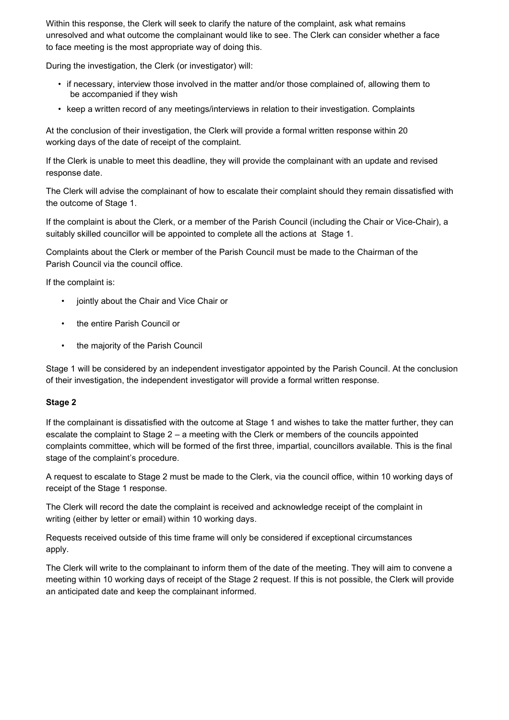Within this response, the Clerk will seek to clarify the nature of the complaint, ask what remains unresolved and what outcome the complainant would like to see. The Clerk can consider whether a face to face meeting is the most appropriate way of doing this.

During the investigation, the Clerk (or investigator) will:

- if necessary, interview those involved in the matter and/or those complained of, allowing them to be accompanied if they wish
- keep a written record of any meetings/interviews in relation to their investigation. Complaints

At the conclusion of their investigation, the Clerk will provide a formal written response within 20 working days of the date of receipt of the complaint.

If the Clerk is unable to meet this deadline, they will provide the complainant with an update and revised response date.

The Clerk will advise the complainant of how to escalate their complaint should they remain dissatisfied with the outcome of Stage 1.

If the complaint is about the Clerk, or a member of the Parish Council (including the Chair or Vice-Chair), a suitably skilled councillor will be appointed to complete all the actions at Stage 1.

Complaints about the Clerk or member of the Parish Council must be made to the Chairman of the Parish Council via the council office.

If the complaint is:

- jointly about the Chair and Vice Chair or
- the entire Parish Council or
- the majority of the Parish Council

Stage 1 will be considered by an independent investigator appointed by the Parish Council. At the conclusion of their investigation, the independent investigator will provide a formal written response.

## Stage 2

If the complainant is dissatisfied with the outcome at Stage 1 and wishes to take the matter further, they can escalate the complaint to Stage 2 – a meeting with the Clerk or members of the councils appointed complaints committee, which will be formed of the first three, impartial, councillors available. This is the final stage of the complaint's procedure.

A request to escalate to Stage 2 must be made to the Clerk, via the council office, within 10 working days of receipt of the Stage 1 response.

The Clerk will record the date the complaint is received and acknowledge receipt of the complaint in writing (either by letter or email) within 10 working days.

Requests received outside of this time frame will only be considered if exceptional circumstances apply.

The Clerk will write to the complainant to inform them of the date of the meeting. They will aim to convene a meeting within 10 working days of receipt of the Stage 2 request. If this is not possible, the Clerk will provide an anticipated date and keep the complainant informed.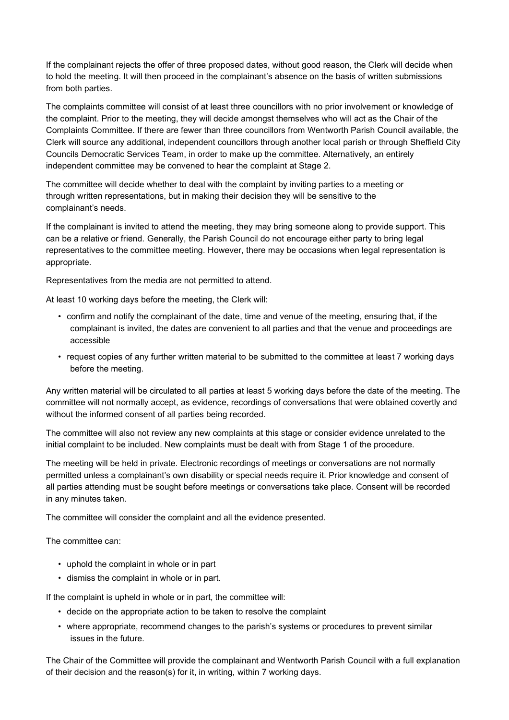If the complainant rejects the offer of three proposed dates, without good reason, the Clerk will decide when to hold the meeting. It will then proceed in the complainant's absence on the basis of written submissions from both parties.

The complaints committee will consist of at least three councillors with no prior involvement or knowledge of the complaint. Prior to the meeting, they will decide amongst themselves who will act as the Chair of the Complaints Committee. If there are fewer than three councillors from Wentworth Parish Council available, the Clerk will source any additional, independent councillors through another local parish or through Sheffield City Councils Democratic Services Team, in order to make up the committee. Alternatively, an entirely independent committee may be convened to hear the complaint at Stage 2.

The committee will decide whether to deal with the complaint by inviting parties to a meeting or through written representations, but in making their decision they will be sensitive to the complainant's needs.

If the complainant is invited to attend the meeting, they may bring someone along to provide support. This can be a relative or friend. Generally, the Parish Council do not encourage either party to bring legal representatives to the committee meeting. However, there may be occasions when legal representation is appropriate.

Representatives from the media are not permitted to attend.

At least 10 working days before the meeting, the Clerk will:

- confirm and notify the complainant of the date, time and venue of the meeting, ensuring that, if the complainant is invited, the dates are convenient to all parties and that the venue and proceedings are accessible
- request copies of any further written material to be submitted to the committee at least 7 working days before the meeting.

Any written material will be circulated to all parties at least 5 working days before the date of the meeting. The committee will not normally accept, as evidence, recordings of conversations that were obtained covertly and without the informed consent of all parties being recorded.

The committee will also not review any new complaints at this stage or consider evidence unrelated to the initial complaint to be included. New complaints must be dealt with from Stage 1 of the procedure.

The meeting will be held in private. Electronic recordings of meetings or conversations are not normally permitted unless a complainant's own disability or special needs require it. Prior knowledge and consent of all parties attending must be sought before meetings or conversations take place. Consent will be recorded in any minutes taken.

The committee will consider the complaint and all the evidence presented.

The committee can:

- uphold the complaint in whole or in part
- dismiss the complaint in whole or in part.

If the complaint is upheld in whole or in part, the committee will:

- decide on the appropriate action to be taken to resolve the complaint
- where appropriate, recommend changes to the parish's systems or procedures to prevent similar issues in the future.

The Chair of the Committee will provide the complainant and Wentworth Parish Council with a full explanation of their decision and the reason(s) for it, in writing, within 7 working days.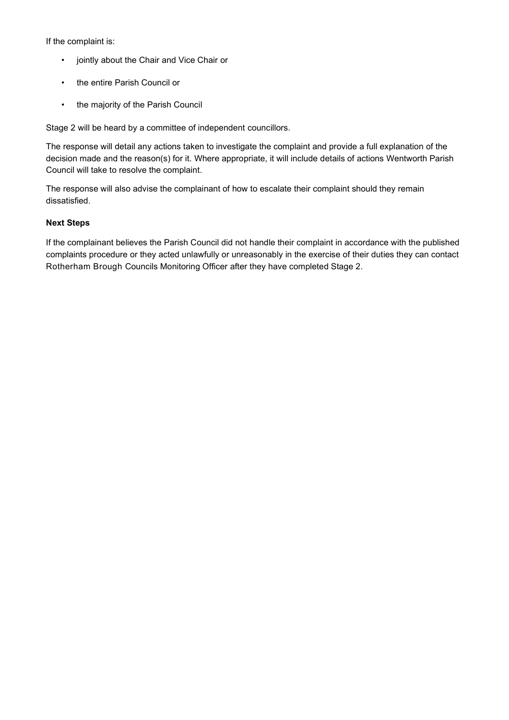If the complaint is:

- jointly about the Chair and Vice Chair or
- the entire Parish Council or
- the majority of the Parish Council

Stage 2 will be heard by a committee of independent councillors.

The response will detail any actions taken to investigate the complaint and provide a full explanation of the decision made and the reason(s) for it. Where appropriate, it will include details of actions Wentworth Parish Council will take to resolve the complaint.

The response will also advise the complainant of how to escalate their complaint should they remain dissatisfied.

## Next Steps

If the complainant believes the Parish Council did not handle their complaint in accordance with the published complaints procedure or they acted unlawfully or unreasonably in the exercise of their duties they can contact Rotherham Brough Councils Monitoring Officer after they have completed Stage 2.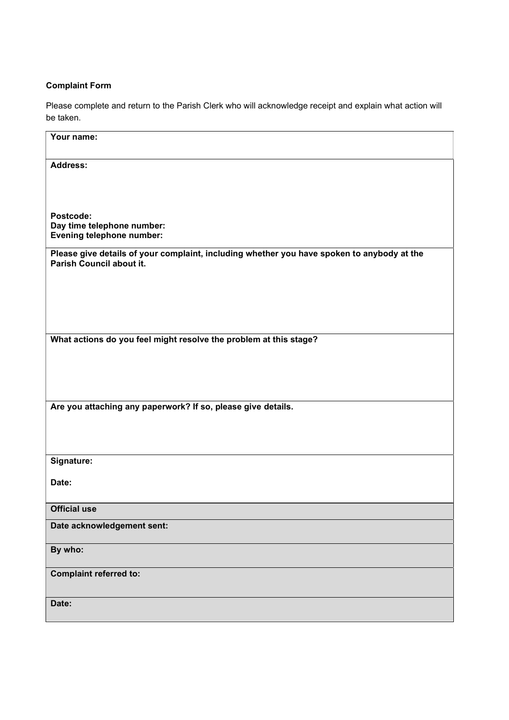## Complaint Form

Please complete and return to the Parish Clerk who will acknowledge receipt and explain what action will be taken.

| Your name:                                                                                                             |  |  |
|------------------------------------------------------------------------------------------------------------------------|--|--|
| <b>Address:</b>                                                                                                        |  |  |
|                                                                                                                        |  |  |
| Postcode:<br>Day time telephone number:<br>Evening telephone number:                                                   |  |  |
| Please give details of your complaint, including whether you have spoken to anybody at the<br>Parish Council about it. |  |  |
|                                                                                                                        |  |  |
|                                                                                                                        |  |  |
| What actions do you feel might resolve the problem at this stage?                                                      |  |  |
|                                                                                                                        |  |  |
| Are you attaching any paperwork? If so, please give details.                                                           |  |  |
|                                                                                                                        |  |  |
| Signature:                                                                                                             |  |  |
| Date:                                                                                                                  |  |  |
| <b>Official use</b>                                                                                                    |  |  |
| Date acknowledgement sent:                                                                                             |  |  |
| By who:                                                                                                                |  |  |
| <b>Complaint referred to:</b>                                                                                          |  |  |
| Date:                                                                                                                  |  |  |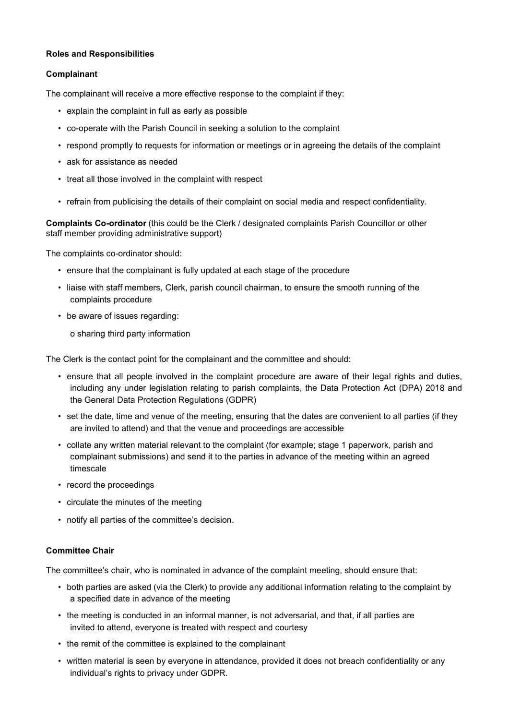## Roles and Responsibilities

## Complainant

The complainant will receive a more effective response to the complaint if they:

- explain the complaint in full as early as possible
- co-operate with the Parish Council in seeking a solution to the complaint
- respond promptly to requests for information or meetings or in agreeing the details of the complaint
- ask for assistance as needed
- treat all those involved in the complaint with respect
- refrain from publicising the details of their complaint on social media and respect confidentiality.

Complaints Co-ordinator (this could be the Clerk / designated complaints Parish Councillor or other staff member providing administrative support)

The complaints co-ordinator should:

- ensure that the complainant is fully updated at each stage of the procedure
- liaise with staff members, Clerk, parish council chairman, to ensure the smooth running of the complaints procedure
- be aware of issues regarding:
	- o sharing third party information

The Clerk is the contact point for the complainant and the committee and should:

- ensure that all people involved in the complaint procedure are aware of their legal rights and duties, including any under legislation relating to parish complaints, the Data Protection Act (DPA) 2018 and the General Data Protection Regulations (GDPR)
- set the date, time and venue of the meeting, ensuring that the dates are convenient to all parties (if they are invited to attend) and that the venue and proceedings are accessible
- collate any written material relevant to the complaint (for example; stage 1 paperwork, parish and complainant submissions) and send it to the parties in advance of the meeting within an agreed timescale
- record the proceedings
- circulate the minutes of the meeting
- notify all parties of the committee's decision.

## Committee Chair

The committee's chair, who is nominated in advance of the complaint meeting, should ensure that:

- both parties are asked (via the Clerk) to provide any additional information relating to the complaint by a specified date in advance of the meeting
- the meeting is conducted in an informal manner, is not adversarial, and that, if all parties are invited to attend, everyone is treated with respect and courtesy
- the remit of the committee is explained to the complainant
- written material is seen by everyone in attendance, provided it does not breach confidentiality or any individual's rights to privacy under GDPR.